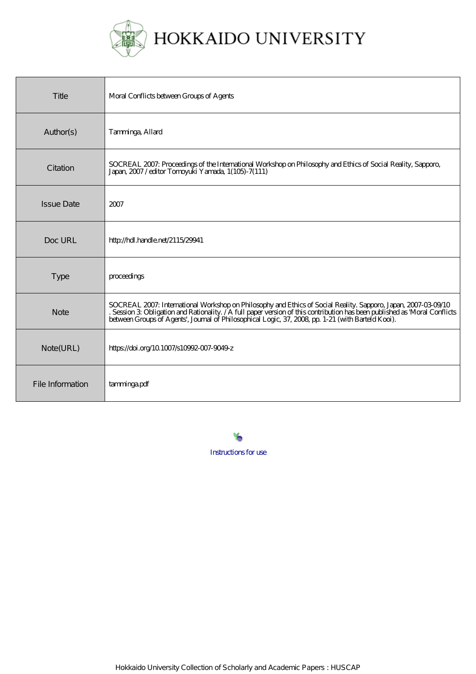

| Title             | Moral Conflicts between Groups of Agents                                                                                                                                                                                                                                                                                                      |
|-------------------|-----------------------------------------------------------------------------------------------------------------------------------------------------------------------------------------------------------------------------------------------------------------------------------------------------------------------------------------------|
| Author(s)         | Tamninga, Allard                                                                                                                                                                                                                                                                                                                              |
| Citation          | SOCREAL 2007: Proceedings of the International Workshop on Philosophy and Ethics of Social Reality, Sapporo,<br>Japan, 2007/editor Tompyuki Yamada, 1(105)-7(111)                                                                                                                                                                             |
| <b>Issue Date</b> | 2007                                                                                                                                                                                                                                                                                                                                          |
| Doc URL           | http://hdl.handle.net/2115/29941                                                                                                                                                                                                                                                                                                              |
| <b>Type</b>       | proceedings                                                                                                                                                                                                                                                                                                                                   |
| <b>Note</b>       | SOCREAL 2007: International Workshop on Philosophy and Ethics of Social Reality. Sapporo, Japan, 2007-03-09/10<br>. Session 3 Obligation and Rationality. / A full paper version of this contribution has been published as Moral Conflicts between Groups of Agents', Journal of Philosophical Logic, 37, 2008 pp. 1-21 (with Barteld Kooi). |
| Note(URL)         | https://doi.org/10.1007/s10992-007-9049-z                                                                                                                                                                                                                                                                                                     |
| File Information  | tamningapdf                                                                                                                                                                                                                                                                                                                                   |

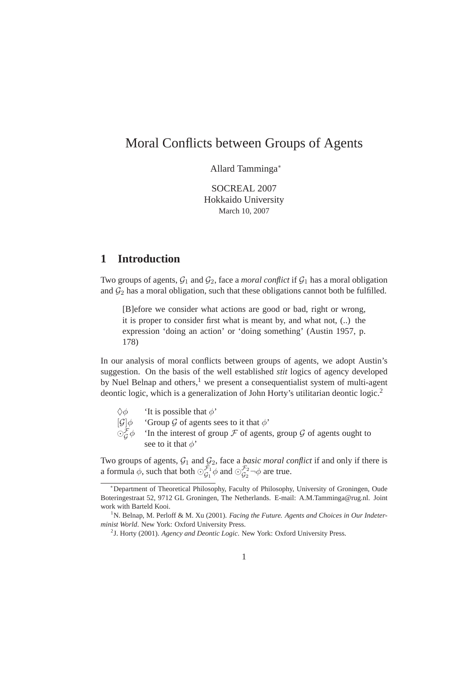# Moral Conflicts between Groups of Agents

Allard Tamminga<sup>∗</sup>

SOCREAL 2007 Hokkaido University March 10, 2007

## **1 Introduction**

Two groups of agents,  $G_1$  and  $G_2$ , face a *moral conflict* if  $G_1$  has a moral obligation and  $\mathcal{G}_2$  has a moral obligation, such that these obligations cannot both be fulfilled.

[B]efore we consider what actions are good or bad, right or wrong, it is proper to consider first what is meant by, and what not, (..) the expression 'doing an action' or 'doing something' (Austin 1957, p. 178)

In our analysis of moral conflicts between groups of agents, we adopt Austin's suggestion. On the basis of the well established *stit* logics of agency developed by Nuel Belnap and others, $<sup>1</sup>$  we present a consequentialist system of multi-agent</sup> deontic logic, which is a generalization of John Horty's utilitarian deontic logic.<sup>2</sup>

- $\Diamond \phi$  'It is possible that  $\phi'$
- $[\mathcal{G}]\phi$  'Group  $\mathcal G$  of agents sees to it that  $\phi'$ '
- $\odot_{G}^{F}\phi$ 'In the interest of group  $\mathcal F$  of agents, group  $\mathcal G$  of agents ought to see to it that  $\phi'$

Two groups of agents,  $G_1$  and  $G_2$ , face a *basic moral conflict* if and only if there is a formula  $\phi$ , such that both  $\odot_{G_1}^{\mathcal{F}_1}$  $\frac{\mathcal{F}_1}{\mathcal{G}_1} \phi$  and  $\odot_{\mathcal{G}_2}^{\mathcal{F}_2}$  $\mathcal{G}_2^2$   $\neg \phi$  are true.

<sup>∗</sup>Department of Theoretical Philosophy, Faculty of Philosophy, University of Groningen, Oude Boteringestraat 52, 9712 GL Groningen, The Netherlands. E-mail: A.M.Tamminga@rug.nl. Joint work with Barteld Kooi.

<sup>&</sup>lt;sup>1</sup>N. Belnap, M. Perloff & M. Xu (2001). *Facing the Future. Agents and Choices in Our Indeterminist World*. New York: Oxford University Press.

<sup>2</sup> J. Horty (2001). *Agency and Deontic Logic*. New York: Oxford University Press.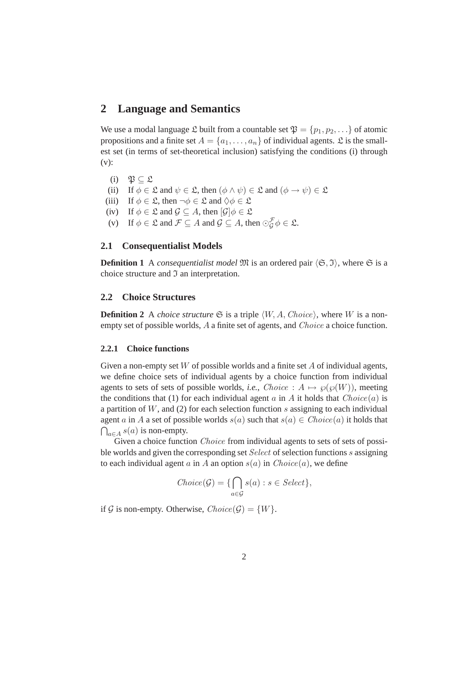### **2 Language and Semantics**

We use a modal language  $\mathfrak L$  built from a countable set  $\mathfrak P = \{p_1, p_2, \ldots\}$  of atomic propositions and a finite set  $A = \{a_1, \ldots, a_n\}$  of individual agents.  $\mathfrak L$  is the smallest set (in terms of set-theoretical inclusion) satisfying the conditions (i) through (v):

- (i)  $\mathfrak{P} \subset \mathfrak{L}$
- (ii) If  $\phi \in \mathfrak{L}$  and  $\psi \in \mathfrak{L}$ , then  $(\phi \land \psi) \in \mathfrak{L}$  and  $(\phi \rightarrow \psi) \in \mathfrak{L}$
- (iii) If  $\phi \in \mathfrak{L}$ , then  $\neg \phi \in \mathfrak{L}$  and  $\Diamond \phi \in \mathfrak{L}$
- (iv) If  $\phi \in \mathfrak{L}$  and  $\mathcal{G} \subseteq A$ , then  $[\mathcal{G}]\phi \in \mathfrak{L}$
- (v) If  $\phi \in \mathfrak{L}$  and  $\mathcal{F} \subseteq A$  and  $\mathcal{G} \subseteq A$ , then  $\odot_{\mathcal{G}}^{\mathcal{F}} \phi \in \mathfrak{L}$ .

#### **2.1 Consequentialist Models**

**Definition 1** A *consequentialist model*  $\mathfrak{M}$  is an ordered pair  $\langle \mathfrak{S}, \mathfrak{I} \rangle$ , where  $\mathfrak{S}$  is a choice structure and  $\mathfrak I$  an interpretation.

### **2.2 Choice Structures**

**Definition 2** A *choice structure*  $\mathfrak{S}$  is a triple  $\langle W, A, Choice \rangle$ , where W is a nonempty set of possible worlds, A a finite set of agents, and *Choice* a choice function.

#### **2.2.1 Choice functions**

Given a non-empty set  $W$  of possible worlds and a finite set  $A$  of individual agents, we define choice sets of individual agents by a choice function from individual agents to sets of sets of possible worlds, *i.e.*, *Choice* :  $A \mapsto \wp(\wp(W))$ , meeting the conditions that (1) for each individual agent  $a$  in  $A$  it holds that  $Choice(a)$  is a partition of  $W$ , and (2) for each selection function s assigning to each individual agent a in A a set of possible worlds  $s(a)$  such that  $s(a) \in Choice(a)$  it holds that  $\bigcap_{a \in A} s(a)$  is non-empty.

Given a choice function *Choice* from individual agents to sets of sets of possible worlds and given the corresponding set Select of selection functions s assigning to each individual agent a in A an option  $s(a)$  in  $Choice(a)$ , we define

$$
Choice(\mathcal{G}) = \{ \bigcap_{a \in \mathcal{G}} s(a) : s \in Select \},
$$

if G is non-empty. Otherwise,  $Choice(\mathcal{G}) = \{W\}.$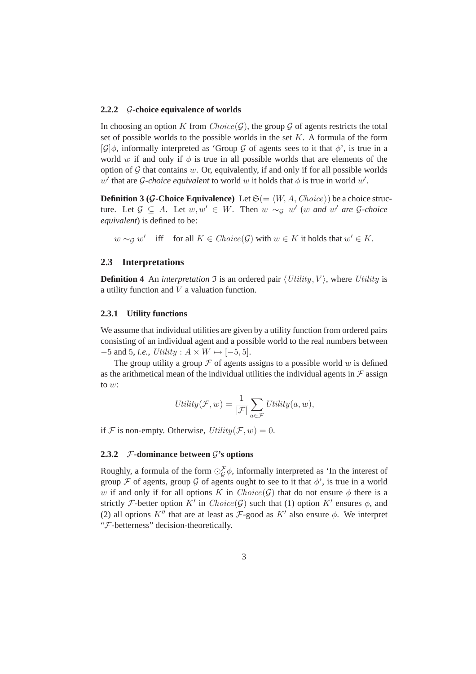#### **2.2.2** G**-choice equivalence of worlds**

In choosing an option K from  $Choice(G)$ , the group G of agents restricts the total set of possible worlds to the possible worlds in the set  $K$ . A formula of the form  $[\mathcal{G}]\phi$ , informally interpreted as 'Group G of agents sees to it that  $\phi$ ', is true in a world w if and only if  $\phi$  is true in all possible worlds that are elements of the option of  $G$  that contains  $w$ . Or, equivalently, if and only if for all possible worlds w' that are *G*-choice equivalent to world w it holds that  $\phi$  is true in world w'.

**Definition 3 (G-Choice Equivalence)** Let  $\mathfrak{S} (= \langle W, A, Choice \rangle)$  be a choice structure. Let  $\mathcal{G} \subseteq A$ . Let  $w, w' \in W$ . Then  $w \sim_{\mathcal{G}} w'$  (w and  $w'$  are  $\mathcal{G}\text{-choice}$ ) *equivalent*) is defined to be:

 $w \sim_{\mathcal{G}} w'$  iff for all  $K \in Choice(\mathcal{G})$  with  $w \in K$  it holds that  $w' \in K$ .

#### **2.3 Interpretations**

**Definition 4** An *interpretation*  $\Im$  is an ordered pair  $\langle Utility, V \rangle$ , where Utility is a utility function and V a valuation function.

#### **2.3.1 Utility functions**

We assume that individual utilities are given by a utility function from ordered pairs consisting of an individual agent and a possible world to the real numbers between  $-5$  and 5, *i.e.*, Utility :  $A \times W \mapsto [-5, 5]$ .

The group utility a group  $\mathcal F$  of agents assigns to a possible world w is defined as the arithmetical mean of the individual utilities the individual agents in  $\mathcal F$  assign to w:

$$
Utility(\mathcal{F}, w) = \frac{1}{|\mathcal{F}|} \sum_{a \in \mathcal{F}} Utility(a, w),
$$

if F is non-empty. Otherwise,  $Utility(\mathcal{F}, w) = 0$ .

#### **2.3.2**  $\mathcal{F}\text{-dominance between } \mathcal{G}\text{'s options}$

Roughly, a formula of the form  $\odot_{\mathcal{G}}^{\mathcal{F}} \phi$ , informally interpreted as 'In the interest of group F of agents, group G of agents ought to see to it that  $\phi'$ , is true in a world w if and only if for all options K in  $Choice(\mathcal{G})$  that do not ensure  $\phi$  there is a strictly F-better option K' in  $Choice(G)$  such that (1) option K' ensures  $\phi$ , and (2) all options  $K''$  that are at least as  $\mathcal{F}\text{-good}$  as  $K'$  also ensure  $\phi$ . We interpret "F-betterness" decision-theoretically.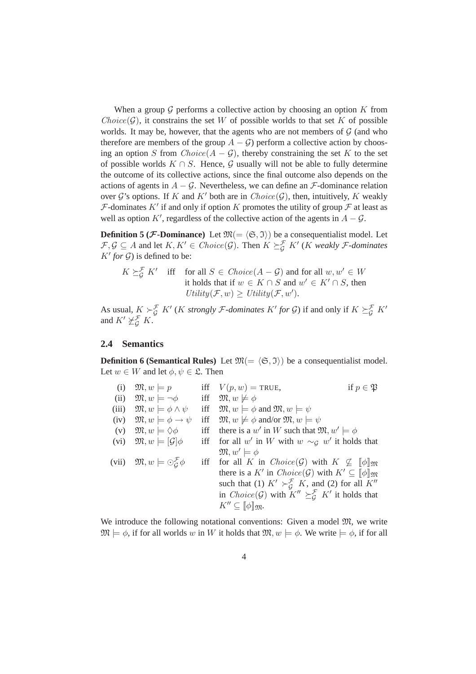When a group  $G$  performs a collective action by choosing an option  $K$  from  $Choice(\mathcal{G})$ , it constrains the set W of possible worlds to that set K of possible worlds. It may be, however, that the agents who are not members of  $G$  (and who therefore are members of the group  $A - \mathcal{G}$ ) perform a collective action by choosing an option S from  $Choice(A - G)$ , thereby constraining the set K to the set of possible worlds  $K \cap S$ . Hence, G usually will not be able to fully determine the outcome of its collective actions, since the final outcome also depends on the actions of agents in  $A - \mathcal{G}$ . Nevertheless, we can define an  $\mathcal{F}$ -dominance relation over  $\mathcal{G}'$ 's options. If K and K' both are in  $Choice(\mathcal{G})$ , then, intuitively, K weakly  $\mathcal F$ -dominates  $K'$  if and only if option  $K$  promotes the utility of group  $\mathcal F$  at least as well as option K', regardless of the collective action of the agents in  $A - \mathcal{G}$ .

**Definition 5 (***F***-Dominance**) Let  $\mathfrak{M} = \langle \mathfrak{S}, \mathfrak{I} \rangle$  be a consequentialist model. Let  $\mathcal{F}, \mathcal{G} \subseteq A$  and let  $K, K' \in Choice(\mathcal{G})$ . Then  $K \succeq_{\mathcal{G}}^{\mathcal{F}} K'$  (*K* weakly *F*-dominates  $K'$  *for*  $\mathcal{G}$ *)* is defined to be:

$$
K \succeq_{\mathcal{G}}^{\mathcal{F}} K'
$$
 iff for all  $S \in Choice(A - \mathcal{G})$  and for all  $w, w' \in W$   
it holds that if  $w \in K \cap S$  and  $w' \in K' \cap S$ , then  

$$
Utility(\mathcal{F}, w) \geq Utility(\mathcal{F}, w').
$$

As usual,  $K \succ_{\mathcal{G}}^{\mathcal{F}} K'$  (*K strongly F-dominates*  $K'$  *for*  $\mathcal{G}$ ) if and only if  $K \succeq_{\mathcal{G}}^{\mathcal{F}} K'$ and  $K' \not\succeq_{\mathcal{G}}^{\mathcal{F}} K$ .

#### **2.4 Semantics**

**Definition 6 (Semantical Rules)** Let  $\mathfrak{M} = \langle \mathfrak{S}, \mathfrak{I} \rangle$  be a consequentialist model. Let  $w \in W$  and let  $\phi, \psi \in \mathfrak{L}$ . Then

| (i)   | $\mathfrak{M}, w \models p$                                  |     | iff $V(p, w) = \text{TRUE},$<br>if $p \in \mathfrak{P}$                                              |
|-------|--------------------------------------------------------------|-----|------------------------------------------------------------------------------------------------------|
| (ii)  | $\mathfrak{M}, w \models \neg \phi$                          |     | iff $\mathfrak{M}, w \not\models \phi$                                                               |
| (iii) | $\mathfrak{M}, w \models \phi \land \psi$                    |     | iff $\mathfrak{M}, w \models \phi$ and $\mathfrak{M}, w \models \psi$                                |
| (iv)  | $\mathfrak{M}, w \models \phi \rightarrow \psi$              | iff | $\mathfrak{M}, w \not\models \phi \text{ and/or } \mathfrak{M}, w \models \psi$                      |
| (v)   | $\mathfrak{M}, w \models \Diamond \phi$                      |     | iff there is a w' in W such that $\mathfrak{M}, w' \models \phi$                                     |
|       | (vi) $\mathfrak{M}, w \models [\mathcal{G}]\phi$             |     | iff for all w' in W with $w \sim_{\mathcal{G}} w'$ it holds that                                     |
|       |                                                              |     | $\mathfrak{M}, w' \models \phi$                                                                      |
|       | (vii) $\mathfrak{M}, w \models \odot_{G}^{\mathcal{F}} \phi$ |     | iff for all K in $Choice(\mathcal{G})$ with $K \nsubseteq \llbracket \phi \rrbracket_{\mathfrak{M}}$ |
|       |                                                              |     | there is a K' in $Choice(G)$ with $K' \subseteq \llbracket \phi \rrbracket_{\mathfrak{M}}$           |
|       |                                                              |     | such that (1) $K' \succ_{G}^{\mathcal{F}} K$ , and (2) for all $K''$                                 |
|       |                                                              |     | in <i>Choice</i> ( $G$ ) with $K'' \succeq_G^{\mathcal{F}} K'$ it holds that                         |
|       |                                                              |     | $K'' \subseteq \llbracket \phi \rrbracket_{\mathfrak{M}}.$                                           |

We introduce the following notational conventions: Given a model  $\mathfrak{M}$ , we write  $\mathfrak{M} \models \phi$ , if for all worlds w in W it holds that  $\mathfrak{M}, w \models \phi$ . We write  $\models \phi$ , if for all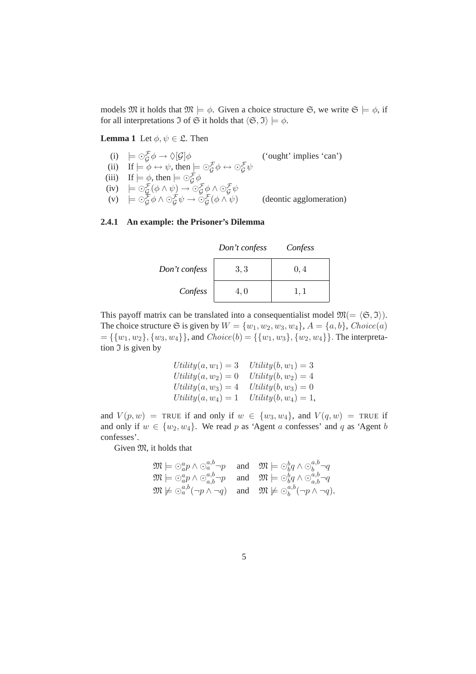models  $\mathfrak{M}$  it holds that  $\mathfrak{M} \models \phi$ . Given a choice structure  $\mathfrak{S}$ , we write  $\mathfrak{S} \models \phi$ , if for all interpretations  $\Im$  of  $\Im$  it holds that  $\langle \Im, \Im \rangle \models \phi$ .

#### **Lemma 1** Let  $\phi, \psi \in \mathcal{L}$ . Then

- (i)  $\models \bigcirc_{\mathcal{G}}^{\mathcal{F}} \phi \rightarrow \Diamond[\mathcal{G}]\phi$  ('ought' implies 'can')
- (ii) If  $\models \phi \leftrightarrow \psi$ , then  $\models \bigcirc_{\mathcal{G}}^{\mathcal{F}} \phi \leftrightarrow \bigcirc_{\mathcal{G}}^{\mathcal{F}} \psi$
- (iii) If  $\models \phi$ , then  $\models \bigcirc_{\mathcal{G}}^{\mathcal{F}} \phi$
- (iv)  $\models \odot_{\mathcal{G}}^{\mathcal{F}}(\phi \wedge \psi) \rightarrow \odot_{\mathcal{G}}^{\mathcal{F}}\phi \wedge \odot_{\mathcal{G}}^{\mathcal{F}}\psi$ (v)  $\models \odot_{\mathcal{G}}^{\mathcal{F}} \phi \land \odot_{\mathcal{G}}^{\mathcal{F}} \psi \rightarrow \odot_{\mathcal{G}}^{\mathcal{F}}$

(deontic agglomeration)

#### **2.4.1 An example: the Prisoner's Dilemma**

|               | Don't confess | Confess |
|---------------|---------------|---------|
| Don't confess | 3,3           | 0,4     |
| Confess       | 4.0           |         |

This payoff matrix can be translated into a consequentialist model  $\mathfrak{M} = \langle \mathfrak{S}, \mathfrak{I} \rangle$ . The choice structure  $\mathfrak S$  is given by  $W = \{w_1, w_2, w_3, w_4\}, A = \{a, b\}, Choice(a)$  $=\{\{w_1, w_2\}, \{w_3, w_4\}\}\$ , and  $Choice(b) = \{\{w_1, w_3\}, \{w_2, w_4\}\}\$ . The interpretation  $\Im$  is given by

$$
Utility(a, w_1) = 3
$$
  
\n
$$
Utility(a, w_2) = 0
$$
  
\n
$$
Utility(b, w_2) = 4
$$
  
\n
$$
Utility(a, w_3) = 4
$$
  
\n
$$
Utility(b, w_3) = 0
$$
  
\n
$$
Utility(a, w_4) = 1
$$
  
\n
$$
Utility(b, w_4) = 1,
$$

and  $V(p, w)$  = TRUE if and only if  $w \in \{w_3, w_4\}$ , and  $V(q, w)$  = TRUE if and only if  $w \in \{w_2, w_4\}$ . We read p as 'Agent a confesses' and q as 'Agent b confesses'.

Given  $\mathfrak{M}$ , it holds that

$$
\mathfrak{M} \models \odot_a^a p \land \odot_a^{a,b} \neg p \quad \text{ and } \quad \mathfrak{M} \models \odot_b^b q \land \odot_b^{a,b} \neg q
$$
  
\n
$$
\mathfrak{M} \models \odot_a^a p \land \odot_{a,b}^{a,b} \neg p \quad \text{ and } \quad \mathfrak{M} \models \odot_b^b q \land \odot_{a,b}^{a,b} \neg q
$$
  
\n
$$
\mathfrak{M} \not\models \odot_a^{a,b} (\neg p \land \neg q) \quad \text{ and } \quad \mathfrak{M} \not\models \odot_b^{a,b} (\neg p \land \neg q).
$$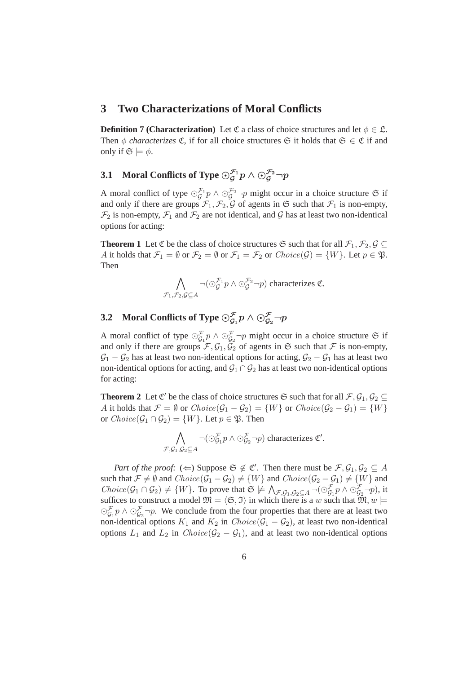## **3 Two Characterizations of Moral Conflicts**

**Definition 7 (Characterization)** Let C a class of choice structures and let  $\phi \in \mathcal{L}$ . Then  $\phi$  *characterizes*  $\mathfrak{C}$ , if for all choice structures  $\mathfrak{S}$  it holds that  $\mathfrak{S} \in \mathfrak{C}$  if and only if  $\mathfrak{S} \models \phi$ .

## **3.1** Moral Conflicts of Type  $\odot_g^{\mathcal{F}_1} p \wedge \odot_g^{\mathcal{F}_2} \neg p$

A moral conflict of type  $\odot_G^{\mathcal{F}_1}$  $\mathcal{F}_g^{\Gamma_1} p \wedge \odot_g^{\mathcal{F}_2} \neg p$  might occur in a choice structure  $\mathfrak{S}$  if and only if there are groups  $\mathcal{F}_1, \mathcal{F}_2, \mathcal{G}$  of agents in  $\mathfrak{S}$  such that  $\mathcal{F}_1$  is non-empty,  $\mathcal{F}_2$  is non-empty,  $\mathcal{F}_1$  and  $\mathcal{F}_2$  are not identical, and  $\mathcal G$  has at least two non-identical options for acting:

**Theorem 1** Let  $\mathfrak C$  be the class of choice structures  $\mathfrak S$  such that for all  $\mathcal F_1, \mathcal F_2, \mathcal G \subseteq$ A it holds that  $\mathcal{F}_1 = \emptyset$  or  $\mathcal{F}_2 = \emptyset$  or  $\mathcal{F}_1 = \mathcal{F}_2$  or  $Choice(\mathcal{G}) = \{W\}$ . Let  $p \in \mathfrak{P}$ . Then

$$
\bigwedge_{\mathcal{F}_1,\mathcal{F}_2,\mathcal{G}\subseteq A}\neg(\odot_{\mathcal{G}}^{\mathcal{F}_1}p\land\odot_{\mathcal{G}}^{\mathcal{F}_2}\neg p)\text{ characterizes }\mathfrak{C}.
$$

## **3.2** Moral Conflicts of Type  $\odot_{\mathcal{G}_1}^{\mathcal{F}} p \wedge \odot_{\mathcal{G}_2}^{\mathcal{F}} \neg p$

A moral conflict of type  $\odot_{G_1}^{\mathcal{F}} p \wedge \odot_{G_2}^{\mathcal{F}} \neg p$  might occur in a choice structure  $\mathfrak{S}$  if and only if there are groups  $\mathcal{F}, \mathcal{G}_1, \tilde{\mathcal{G}}_2$  of agents in  $\mathfrak{S}$  such that  $\mathcal F$  is non-empty,  $\mathcal{G}_1 - \mathcal{G}_2$  has at least two non-identical options for acting,  $\mathcal{G}_2 - \mathcal{G}_1$  has at least two non-identical options for acting, and  $\mathcal{G}_1 \cap \mathcal{G}_2$  has at least two non-identical options for acting:

**Theorem 2** Let  $\mathfrak{C}'$  be the class of choice structures  $\mathfrak{S}$  such that for all  $\mathcal{F}, \mathcal{G}_1, \mathcal{G}_2 \subseteq$ A it holds that  $\mathcal{F} = \emptyset$  or  $Choice(\mathcal{G}_1 - \mathcal{G}_2) = \{W\}$  or  $Choice(\mathcal{G}_2 - \mathcal{G}_1) = \{W\}$ or  $Choice(\mathcal{G}_1 \cap \mathcal{G}_2) = \{W\}$ . Let  $p \in \mathfrak{P}$ . Then

$$
\bigwedge_{\mathcal{F},\mathcal{G}_1,\mathcal{G}_2 \subseteq A} \neg(\bigcirc_{\mathcal{G}_1}^{\mathcal{F}} p \land \bigcirc_{\mathcal{G}_2}^{\mathcal{F}} \neg p)
$$
 characterizes  $\mathfrak{C}'$ .

*Part of the proof:*  $(\Leftarrow)$  Suppose  $\mathfrak{S} \notin \mathfrak{C}'$ . Then there must be  $\mathcal{F}, \mathcal{G}_1, \mathcal{G}_2 \subseteq A$ such that  $\mathcal{F} \neq \emptyset$  and  $Choice(\mathcal{G}_1 - \mathcal{G}_2) \neq \{W\}$  and  $Choice(\mathcal{G}_2 - \mathcal{G}_1) \neq \{W\}$  and  $Choice(\mathcal{G}_1 \cap \mathcal{G}_2) \neq \{W\}$ . To prove that  $\mathfrak{S} \not\models \bigwedge_{\mathcal{F},\mathcal{G}_1,\mathcal{G}_2 \subseteq A} \neg(\bigcirc_{\mathcal{G}_1}^{\mathcal{F}} p \land \bigcirc_{\mathcal{G}_2}^{\mathcal{F}} \neg p)$ , it suffices to construct a model  $\mathfrak{M} = \langle \mathfrak{S}, \mathfrak{I} \rangle$  in which there is a w such that  $\mathfrak{M}, w \models$  $\odot_{G_1}^{\mathcal{F}} p \wedge \odot_{G_2}^{\mathcal{F}} \neg p$ . We conclude from the four properties that there are at least two non-identical options  $K_1$  and  $K_2$  in  $Choice(\mathcal{G}_1 - \mathcal{G}_2)$ , at least two non-identical options  $L_1$  and  $L_2$  in  $Choice(\mathcal{G}_2 - \mathcal{G}_1)$ , and at least two non-identical options